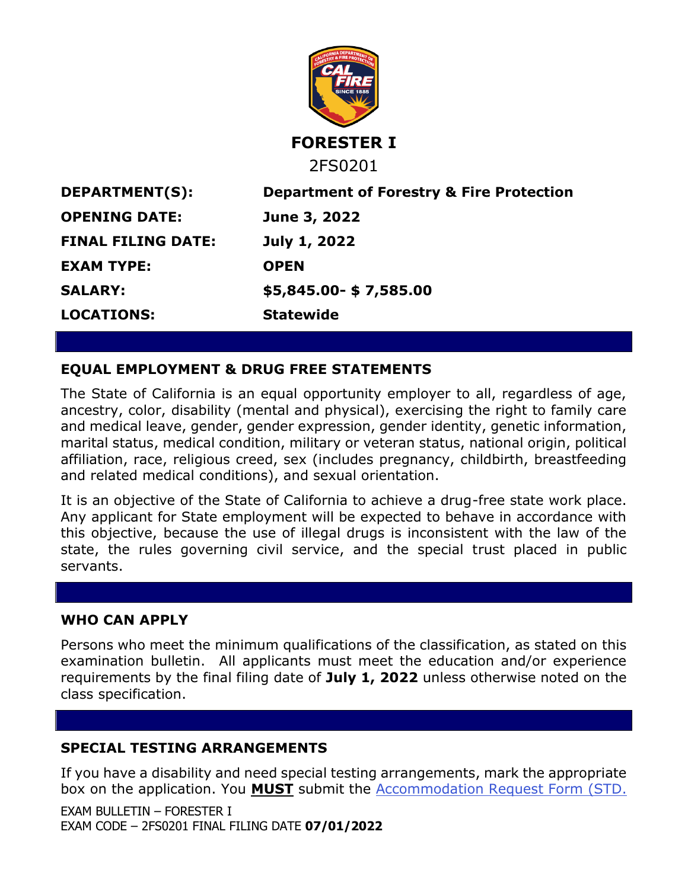

**DEPARTMENT(S): Department of Forestry & Fire Protection OPENING DATE: June 3, 2022 FINAL FILING DATE: July 1, 2022 EXAM TYPE: OPEN LOCATIONS: Statewide**

**SALARY: \$5,845.00- \$ 7,585.00**

# **EQUAL EMPLOYMENT & DRUG FREE STATEMENTS**

The State of California is an equal opportunity employer to all, regardless of age, ancestry, color, disability (mental and physical), exercising the right to family care and medical leave, gender, gender expression, gender identity, genetic information, marital status, medical condition, military or veteran status, national origin, political affiliation, race, religious creed, sex (includes pregnancy, childbirth, breastfeeding and related medical conditions), and sexual orientation.

It is an objective of the State of California to achieve a drug-free state work place. Any applicant for State employment will be expected to behave in accordance with this objective, because the use of illegal drugs is inconsistent with the law of the state, the rules governing civil service, and the special trust placed in public servants.

## **WHO CAN APPLY**

Persons who meet the minimum qualifications of the classification, as stated on this examination bulletin. All applicants must meet the education and/or experience requirements by the final filing date of **July 1, 2022** unless otherwise noted on the class specification.

# **SPECIAL TESTING ARRANGEMENTS**

If you have a disability and need special testing arrangements, mark the appropriate box on the application. You **MUST** submit the [Accommodation Request Form \(STD.](https://jobs.ca.gov/pdf/STD679.pdf)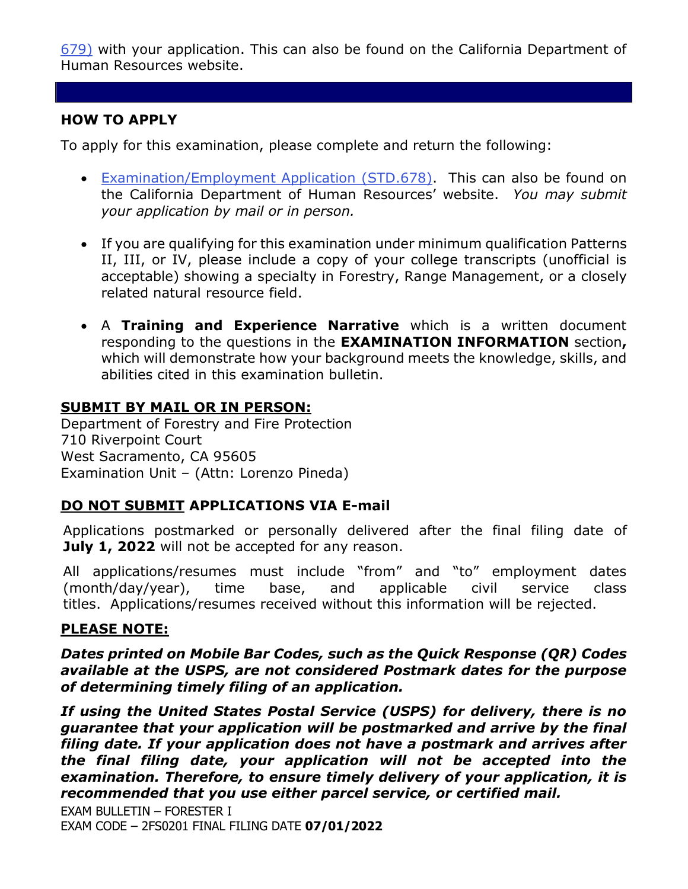[679\)](https://jobs.ca.gov/pdf/STD679.pdf) with your application. This can also be found on the California Department of Human Resources website.

## **HOW TO APPLY**

To apply for this examination, please complete and return the following:

- [Examination/Employment Application \(STD.678\).](https://jobs.ca.gov/pdf/std678.pdf) This can also be found on the California Department of Human Resources' website. *You may submit your application by mail or in person.*
- If you are qualifying for this examination under minimum qualification Patterns II, III, or IV, please include a copy of your college transcripts (unofficial is acceptable) showing a specialty in Forestry, Range Management, or a closely related natural resource field.
- A **Training and Experience Narrative** which is a written document responding to the questions in the **EXAMINATION INFORMATION** section**,**  which will demonstrate how your background meets the knowledge, skills, and abilities cited in this examination bulletin.

### **SUBMIT BY MAIL OR IN PERSON:**

Department of Forestry and Fire Protection 710 Riverpoint Court West Sacramento, CA 95605 Examination Unit – (Attn: Lorenzo Pineda)

## **DO NOT SUBMIT APPLICATIONS VIA E-mail**

Applications postmarked or personally delivered after the final filing date of **July 1, 2022** will not be accepted for any reason.

All applications/resumes must include "from" and "to" employment dates (month/day/year), time base, and applicable civil service class titles. Applications/resumes received without this information will be rejected.

### **PLEASE NOTE:**

*Dates printed on Mobile Bar Codes, such as the Quick Response (QR) Codes available at the USPS, are not considered Postmark dates for the purpose of determining timely filing of an application.*

*If using the United States Postal Service (USPS) for delivery, there is no guarantee that your application will be postmarked and arrive by the final filing date. If your application does not have a postmark and arrives after the final filing date, your application will not be accepted into the examination. Therefore, to ensure timely delivery of your application, it is recommended that you use either parcel service, or certified mail.*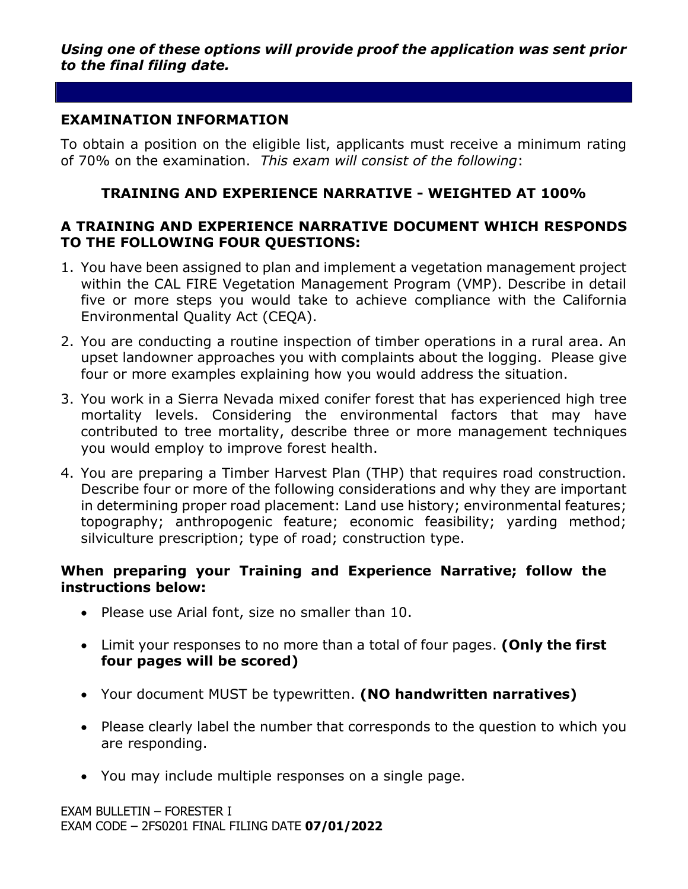### **EXAMINATION INFORMATION**

To obtain a position on the eligible list, applicants must receive a minimum rating of 70% on the examination. *This exam will consist of the following*:

## **TRAINING AND EXPERIENCE NARRATIVE - WEIGHTED AT 100%**

## **A TRAINING AND EXPERIENCE NARRATIVE DOCUMENT WHICH RESPONDS TO THE FOLLOWING FOUR QUESTIONS:**

- 1. You have been assigned to plan and implement a vegetation management project within the CAL FIRE Vegetation Management Program (VMP). Describe in detail five or more steps you would take to achieve compliance with the California Environmental Quality Act (CEQA).
- 2. You are conducting a routine inspection of timber operations in a rural area. An upset landowner approaches you with complaints about the logging. Please give four or more examples explaining how you would address the situation.
- 3. You work in a Sierra Nevada mixed conifer forest that has experienced high tree mortality levels. Considering the environmental factors that may have contributed to tree mortality, describe three or more management techniques you would employ to improve forest health.
- 4. You are preparing a Timber Harvest Plan (THP) that requires road construction. Describe four or more of the following considerations and why they are important in determining proper road placement: Land use history; environmental features; topography; anthropogenic feature; economic feasibility; yarding method; silviculture prescription; type of road; construction type.

### **When preparing your Training and Experience Narrative; follow the instructions below:**

- Please use Arial font, size no smaller than 10.
- Limit your responses to no more than a total of four pages. **(Only the first four pages will be scored)**
- Your document MUST be typewritten. **(NO handwritten narratives)**
- Please clearly label the number that corresponds to the question to which you are responding.
- You may include multiple responses on a single page.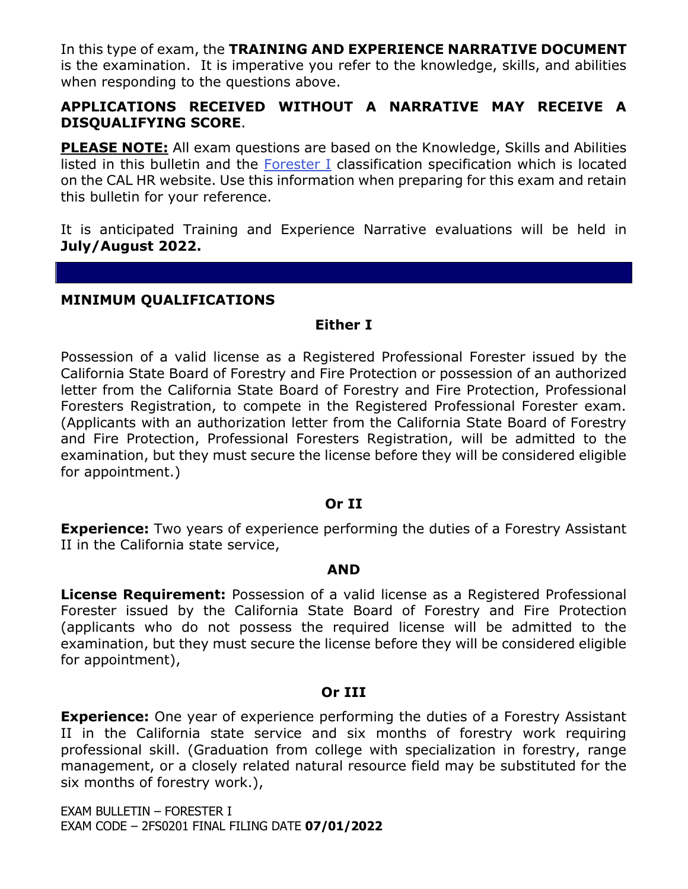In this type of exam, the **TRAINING AND EXPERIENCE NARRATIVE DOCUMENT** is the examination. It is imperative you refer to the knowledge, skills, and abilities when responding to the questions above.

## **APPLICATIONS RECEIVED WITHOUT A NARRATIVE MAY RECEIVE A DISQUALIFYING SCORE**.

**PLEASE NOTE:** All exam questions are based on the Knowledge, Skills and Abilities listed in this bulletin and the [Forester I](https://www.calhr.ca.gov/state-hr-professionals/pages/1054.aspx) classification specification which is located on the CAL HR website. Use this information when preparing for this exam and retain this bulletin for your reference.

It is anticipated Training and Experience Narrative evaluations will be held in **July/August 2022.**

#### **MINIMUM QUALIFICATIONS**

#### **Either I**

Possession of a valid license as a Registered Professional Forester issued by the California State Board of Forestry and Fire Protection or possession of an authorized letter from the California State Board of Forestry and Fire Protection, Professional Foresters Registration, to compete in the Registered Professional Forester exam. (Applicants with an authorization letter from the California State Board of Forestry and Fire Protection, Professional Foresters Registration, will be admitted to the examination, but they must secure the license before they will be considered eligible for appointment.)

#### **Or II**

**Experience:** Two years of experience performing the duties of a Forestry Assistant II in the California state service,

#### **AND**

**License Requirement:** Possession of a valid license as a Registered Professional Forester issued by the California State Board of Forestry and Fire Protection (applicants who do not possess the required license will be admitted to the examination, but they must secure the license before they will be considered eligible for appointment),

#### **Or III**

**Experience:** One year of experience performing the duties of a Forestry Assistant II in the California state service and six months of forestry work requiring professional skill. (Graduation from college with specialization in forestry, range management, or a closely related natural resource field may be substituted for the six months of forestry work.),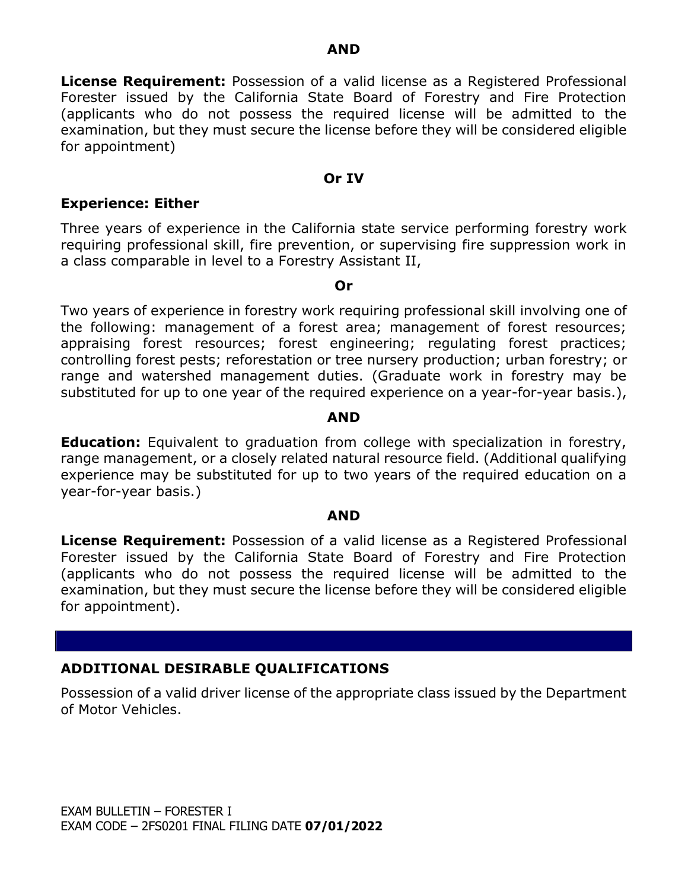**License Requirement:** Possession of a valid license as a Registered Professional Forester issued by the California State Board of Forestry and Fire Protection (applicants who do not possess the required license will be admitted to the examination, but they must secure the license before they will be considered eligible for appointment)

#### **Or IV**

#### **Experience: Either**

Three years of experience in the California state service performing forestry work requiring professional skill, fire prevention, or supervising fire suppression work in a class comparable in level to a Forestry Assistant II,

#### **Or**

Two years of experience in forestry work requiring professional skill involving one of the following: management of a forest area; management of forest resources; appraising forest resources; forest engineering; regulating forest practices; controlling forest pests; reforestation or tree nursery production; urban forestry; or range and watershed management duties. (Graduate work in forestry may be substituted for up to one year of the required experience on a year-for-year basis.),

#### **AND**

**Education:** Equivalent to graduation from college with specialization in forestry, range management, or a closely related natural resource field. (Additional qualifying experience may be substituted for up to two years of the required education on a year-for-year basis.)

#### **AND**

**License Requirement:** Possession of a valid license as a Registered Professional Forester issued by the California State Board of Forestry and Fire Protection (applicants who do not possess the required license will be admitted to the examination, but they must secure the license before they will be considered eligible for appointment).

## **ADDITIONAL DESIRABLE QUALIFICATIONS**

Possession of a valid driver license of the appropriate class issued by the Department of Motor Vehicles.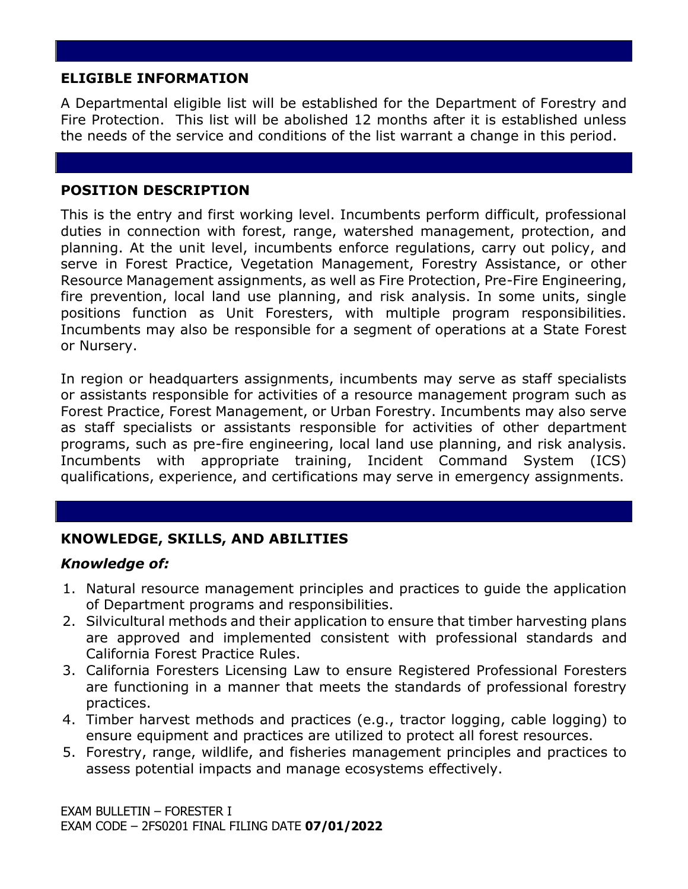## **ELIGIBLE INFORMATION**

A Departmental eligible list will be established for the Department of Forestry and Fire Protection. This list will be abolished 12 months after it is established unless the needs of the service and conditions of the list warrant a change in this period.

## **POSITION DESCRIPTION**

This is the entry and first working level. Incumbents perform difficult, professional duties in connection with forest, range, watershed management, protection, and planning. At the unit level, incumbents enforce regulations, carry out policy, and serve in Forest Practice, Vegetation Management, Forestry Assistance, or other Resource Management assignments, as well as Fire Protection, Pre-Fire Engineering, fire prevention, local land use planning, and risk analysis. In some units, single positions function as Unit Foresters, with multiple program responsibilities. Incumbents may also be responsible for a segment of operations at a State Forest or Nursery.

In region or headquarters assignments, incumbents may serve as staff specialists or assistants responsible for activities of a resource management program such as Forest Practice, Forest Management, or Urban Forestry. Incumbents may also serve as staff specialists or assistants responsible for activities of other department programs, such as pre-fire engineering, local land use planning, and risk analysis. Incumbents with appropriate training, Incident Command System (ICS) qualifications, experience, and certifications may serve in emergency assignments.

# **KNOWLEDGE, SKILLS, AND ABILITIES**

### *Knowledge of:*

- 1. Natural resource management principles and practices to guide the application of Department programs and responsibilities.
- 2. Silvicultural methods and their application to ensure that timber harvesting plans are approved and implemented consistent with professional standards and California Forest Practice Rules.
- 3. California Foresters Licensing Law to ensure Registered Professional Foresters are functioning in a manner that meets the standards of professional forestry practices.
- 4. Timber harvest methods and practices (e.g., tractor logging, cable logging) to ensure equipment and practices are utilized to protect all forest resources.
- 5. Forestry, range, wildlife, and fisheries management principles and practices to assess potential impacts and manage ecosystems effectively.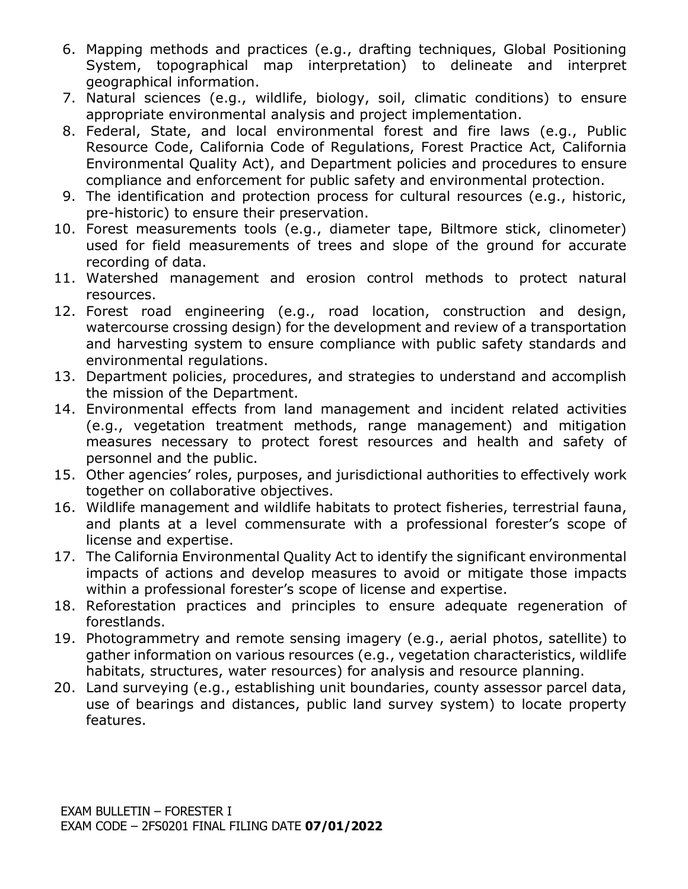- 6. Mapping methods and practices (e.g., drafting techniques, Global Positioning System, topographical map interpretation) to delineate and interpret geographical information.
- 7. Natural sciences (e.g., wildlife, biology, soil, climatic conditions) to ensure appropriate environmental analysis and project implementation.
- 8. Federal, State, and local environmental forest and fire laws (e.g., Public Resource Code, California Code of Regulations, Forest Practice Act, California Environmental Quality Act), and Department policies and procedures to ensure compliance and enforcement for public safety and environmental protection.
- 9. The identification and protection process for cultural resources (e.g., historic, pre-historic) to ensure their preservation.
- 10. Forest measurements tools (e.g., diameter tape, Biltmore stick, clinometer) used for field measurements of trees and slope of the ground for accurate recording of data.
- 11. Watershed management and erosion control methods to protect natural resources.
- 12. Forest road engineering (e.g., road location, construction and design, watercourse crossing design) for the development and review of a transportation and harvesting system to ensure compliance with public safety standards and environmental regulations.
- 13. Department policies, procedures, and strategies to understand and accomplish the mission of the Department.
- 14. Environmental effects from land management and incident related activities (e.g., vegetation treatment methods, range management) and mitigation measures necessary to protect forest resources and health and safety of personnel and the public.
- 15. Other agencies' roles, purposes, and jurisdictional authorities to effectively work together on collaborative objectives.
- 16. Wildlife management and wildlife habitats to protect fisheries, terrestrial fauna, and plants at a level commensurate with a professional forester's scope of license and expertise.
- 17. The California Environmental Quality Act to identify the significant environmental impacts of actions and develop measures to avoid or mitigate those impacts within a professional forester's scope of license and expertise.
- 18. Reforestation practices and principles to ensure adequate regeneration of forestlands.
- 19. Photogrammetry and remote sensing imagery (e.g., aerial photos, satellite) to gather information on various resources (e.g., vegetation characteristics, wildlife habitats, structures, water resources) for analysis and resource planning.
- 20. Land surveying (e.g., establishing unit boundaries, county assessor parcel data, use of bearings and distances, public land survey system) to locate property features.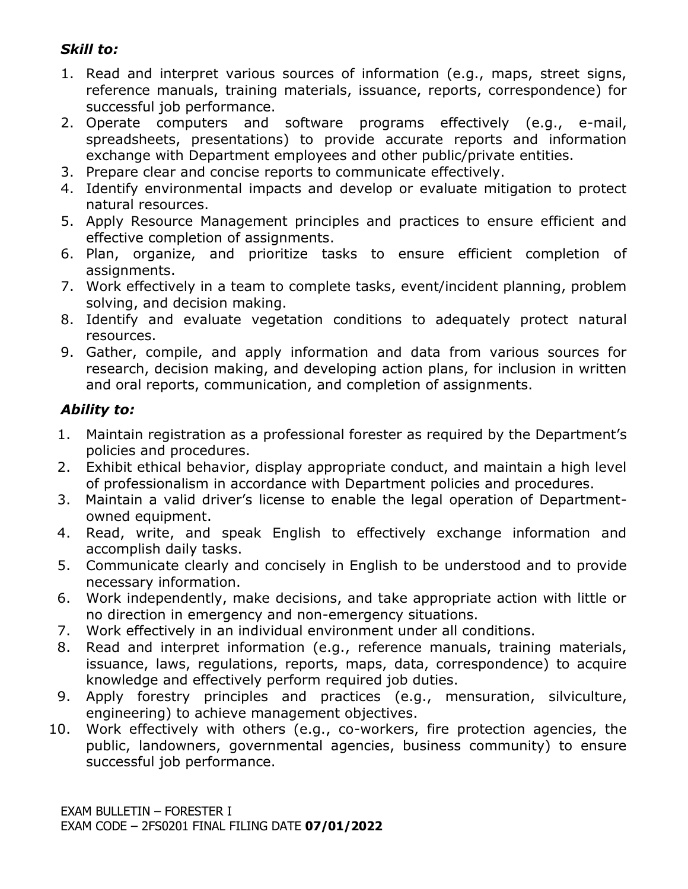# *Skill to:*

- 1. Read and interpret various sources of information (e.g., maps, street signs, reference manuals, training materials, issuance, reports, correspondence) for successful job performance.
- 2. Operate computers and software programs effectively (e.g., e-mail, spreadsheets, presentations) to provide accurate reports and information exchange with Department employees and other public/private entities.
- 3. Prepare clear and concise reports to communicate effectively.
- 4. Identify environmental impacts and develop or evaluate mitigation to protect natural resources.
- 5. Apply Resource Management principles and practices to ensure efficient and effective completion of assignments.
- 6. Plan, organize, and prioritize tasks to ensure efficient completion of assignments.
- 7. Work effectively in a team to complete tasks, event/incident planning, problem solving, and decision making.
- 8. Identify and evaluate vegetation conditions to adequately protect natural resources.
- 9. Gather, compile, and apply information and data from various sources for research, decision making, and developing action plans, for inclusion in written and oral reports, communication, and completion of assignments.

## *Ability to:*

- 1. Maintain registration as a professional forester as required by the Department's policies and procedures.
- 2. Exhibit ethical behavior, display appropriate conduct, and maintain a high level of professionalism in accordance with Department policies and procedures.
- 3. Maintain a valid driver's license to enable the legal operation of Departmentowned equipment.
- 4. Read, write, and speak English to effectively exchange information and accomplish daily tasks.
- 5. Communicate clearly and concisely in English to be understood and to provide necessary information.
- 6. Work independently, make decisions, and take appropriate action with little or no direction in emergency and non-emergency situations.
- 7. Work effectively in an individual environment under all conditions.
- 8. Read and interpret information (e.g., reference manuals, training materials, issuance, laws, regulations, reports, maps, data, correspondence) to acquire knowledge and effectively perform required job duties.
- 9. Apply forestry principles and practices (e.g., mensuration, silviculture, engineering) to achieve management objectives.
- 10. Work effectively with others (e.g., co-workers, fire protection agencies, the public, landowners, governmental agencies, business community) to ensure successful job performance.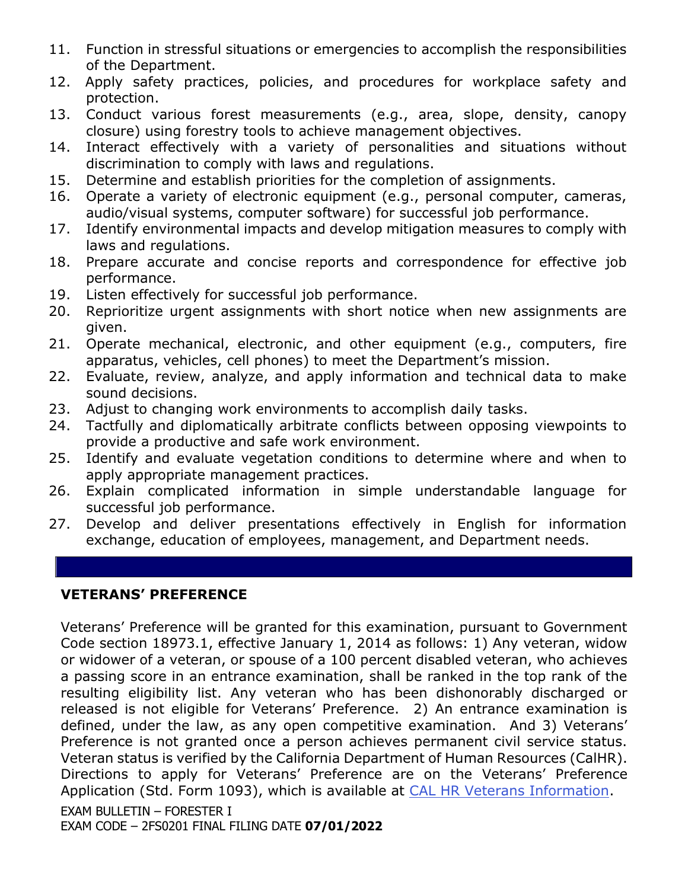- 11. Function in stressful situations or emergencies to accomplish the responsibilities of the Department.
- 12. Apply safety practices, policies, and procedures for workplace safety and protection.
- 13. Conduct various forest measurements (e.g., area, slope, density, canopy closure) using forestry tools to achieve management objectives.
- 14. Interact effectively with a variety of personalities and situations without discrimination to comply with laws and regulations.
- 15. Determine and establish priorities for the completion of assignments.
- 16. Operate a variety of electronic equipment (e.g., personal computer, cameras, audio/visual systems, computer software) for successful job performance.
- 17. Identify environmental impacts and develop mitigation measures to comply with laws and regulations.
- 18. Prepare accurate and concise reports and correspondence for effective job performance.
- 19. Listen effectively for successful job performance.
- 20. Reprioritize urgent assignments with short notice when new assignments are given.
- 21. Operate mechanical, electronic, and other equipment (e.g., computers, fire apparatus, vehicles, cell phones) to meet the Department's mission.
- 22. Evaluate, review, analyze, and apply information and technical data to make sound decisions.
- 23. Adjust to changing work environments to accomplish daily tasks.
- 24. Tactfully and diplomatically arbitrate conflicts between opposing viewpoints to provide a productive and safe work environment.
- 25. Identify and evaluate vegetation conditions to determine where and when to apply appropriate management practices.
- 26. Explain complicated information in simple understandable language for successful job performance.
- 27. Develop and deliver presentations effectively in English for information exchange, education of employees, management, and Department needs.

## **VETERANS' PREFERENCE**

EXAM BULLETIN – FORESTER I Veterans' Preference will be granted for this examination, pursuant to Government Code section 18973.1, effective January 1, 2014 as follows: 1) Any veteran, widow or widower of a veteran, or spouse of a 100 percent disabled veteran, who achieves a passing score in an entrance examination, shall be ranked in the top rank of the resulting eligibility list. Any veteran who has been dishonorably discharged or released is not eligible for Veterans' Preference. 2) An entrance examination is defined, under the law, as any open competitive examination. And 3) Veterans' Preference is not granted once a person achieves permanent civil service status. Veteran status is verified by the California Department of Human Resources (CalHR). Directions to apply for Veterans' Preference are on the Veterans' Preference Application (Std. Form 1093), which is available at [CAL HR Veterans Information.](https://jobs.ca.gov/CalHRPublic/Landing/Jobs/VeteransInformation.aspx)

EXAM CODE – 2FS0201 FINAL FILING DATE **07/01/2022**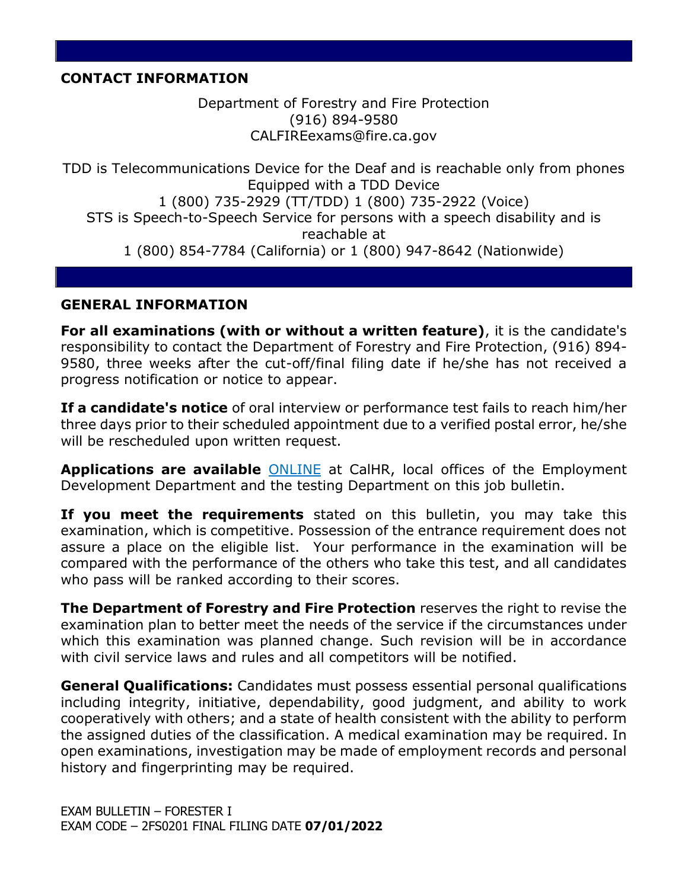### **CONTACT INFORMATION**

Department of Forestry and Fire Protection (916) 894-9580 CALFIREexams@fire.ca.gov

TDD is Telecommunications Device for the Deaf and is reachable only from phones Equipped with a TDD Device 1 (800) 735-2929 (TT/TDD) 1 (800) 735-2922 (Voice) STS is Speech-to-Speech Service for persons with a speech disability and is reachable at 1 (800) 854-7784 (California) or 1 (800) 947-8642 (Nationwide)

### **GENERAL INFORMATION**

**For all examinations (with or without a written feature)**, it is the candidate's responsibility to contact the Department of Forestry and Fire Protection, (916) 894- 9580, three weeks after the cut-off/final filing date if he/she has not received a progress notification or notice to appear.

**If a candidate's notice** of oral interview or performance test fails to reach him/her three days prior to their scheduled appointment due to a verified postal error, he/she will be rescheduled upon written request.

**Applications are available** [ONLINE](https://jobs.ca.gov/pdf/std678.pdf) at CalHR, local offices of the Employment Development Department and the testing Department on this job bulletin.

**If you meet the requirements** stated on this bulletin, you may take this examination, which is competitive. Possession of the entrance requirement does not assure a place on the eligible list. Your performance in the examination will be compared with the performance of the others who take this test, and all candidates who pass will be ranked according to their scores.

**The Department of Forestry and Fire Protection** reserves the right to revise the examination plan to better meet the needs of the service if the circumstances under which this examination was planned change. Such revision will be in accordance with civil service laws and rules and all competitors will be notified.

**General Qualifications:** Candidates must possess essential personal qualifications including integrity, initiative, dependability, good judgment, and ability to work cooperatively with others; and a state of health consistent with the ability to perform the assigned duties of the classification. A medical examination may be required. In open examinations, investigation may be made of employment records and personal history and fingerprinting may be required.